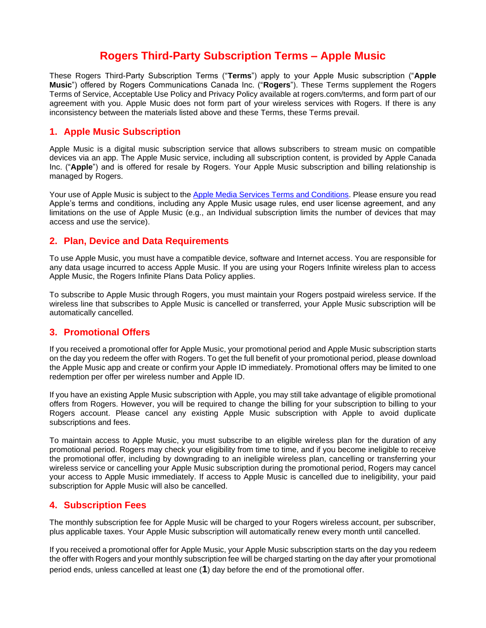# **Rogers Third-Party Subscription Terms – Apple Music**

These Rogers Third-Party Subscription Terms ("**Terms**") apply to your Apple Music subscription ("**Apple Music**") offered by Rogers Communications Canada Inc. ("**Rogers**"). These Terms supplement the Rogers Terms of Service, Acceptable Use Policy and Privacy Policy available at rogers.com/terms, and form part of our agreement with you. Apple Music does not form part of your wireless services with Rogers. If there is any inconsistency between the materials listed above and these Terms, these Terms prevail.

### **1. Apple Music Subscription**

Apple Music is a digital music subscription service that allows subscribers to stream music on compatible devices via an app. The Apple Music service, including all subscription content, is provided by Apple Canada Inc. ("**Apple**") and is offered for resale by Rogers. Your Apple Music subscription and billing relationship is managed by Rogers.

Your use of Apple Music is subject to the [Apple Media Services Terms and Conditions.](https://www.apple.com/legal/internet-services/itunes/ca/terms.html) Please ensure you read Apple's terms and conditions, including any Apple Music usage rules, end user license agreement, and any limitations on the use of Apple Music (e.g., an Individual subscription limits the number of devices that may access and use the service).

## **2. Plan, Device and Data Requirements**

To use Apple Music, you must have a compatible device, software and Internet access. You are responsible for any data usage incurred to access Apple Music. If you are using your Rogers Infinite wireless plan to access Apple Music, the Rogers Infinite Plans Data Policy applies.

To subscribe to Apple Music through Rogers, you must maintain your Rogers postpaid wireless service. If the wireless line that subscribes to Apple Music is cancelled or transferred, your Apple Music subscription will be automatically cancelled.

## **3. Promotional Offers**

If you received a promotional offer for Apple Music, your promotional period and Apple Music subscription starts on the day you redeem the offer with Rogers. To get the full benefit of your promotional period, please download the Apple Music app and create or confirm your Apple ID immediately. Promotional offers may be limited to one redemption per offer per wireless number and Apple ID.

If you have an existing Apple Music subscription with Apple, you may still take advantage of eligible promotional offers from Rogers. However, you will be required to change the billing for your subscription to billing to your Rogers account. Please cancel any existing Apple Music subscription with Apple to avoid duplicate subscriptions and fees.

To maintain access to Apple Music, you must subscribe to an eligible wireless plan for the duration of any promotional period. Rogers may check your eligibility from time to time, and if you become ineligible to receive the promotional offer, including by downgrading to an ineligible wireless plan, cancelling or transferring your wireless service or cancelling your Apple Music subscription during the promotional period, Rogers may cancel your access to Apple Music immediately. If access to Apple Music is cancelled due to ineligibility, your paid subscription for Apple Music will also be cancelled.

## **4. Subscription Fees**

The monthly subscription fee for Apple Music will be charged to your Rogers wireless account, per subscriber, plus applicable taxes. Your Apple Music subscription will automatically renew every month until cancelled.

If you received a promotional offer for Apple Music, your Apple Music subscription starts on the day you redeem the offer with Rogers and your monthly subscription fee will be charged starting on the day after your promotional period ends, unless cancelled at least one (**1**) day before the end of the promotional offer.